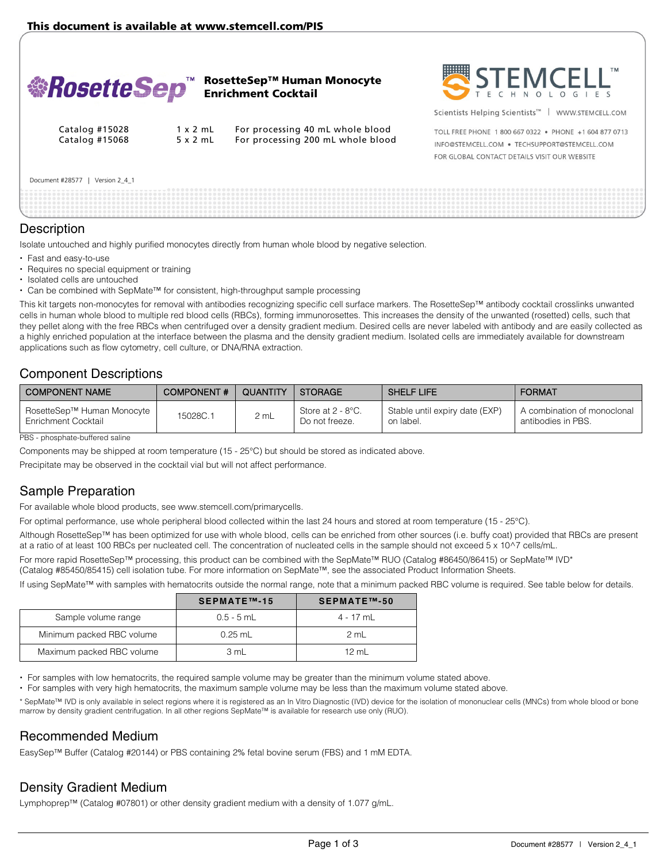

# **Description**

Isolate untouched and highly purified monocytes directly from human whole blood by negative selection.

- Fast and easy-to-use
- Requires no special equipment or training
- Isolated cells are untouched
- Can be combined with SepMate™ for consistent, high-throughput sample processing

This kit targets non-monocytes for removal with antibodies recognizing specific cell surface markers. The RosetteSep™ antibody cocktail crosslinks unwanted cells in human whole blood to multiple red blood cells (RBCs), forming immunorosettes. This increases the density of the unwanted (rosetted) cells, such that they pellet along with the free RBCs when centrifuged over a density gradient medium. Desired cells are never labeled with antibody and are easily collected as a highly enriched population at the interface between the plasma and the density gradient medium. Isolated cells are immediately available for downstream applications such as flow cytometry, cell culture, or DNA/RNA extraction.

# Component Descriptions

| I COMPONENT NAME                                  | <b>COMPONENT#</b> | <b>QUANTITY</b> | <b>STORAGE</b>                      | <b>SHELF LIFE</b>                           | <b>FORMAT</b>                                     |
|---------------------------------------------------|-------------------|-----------------|-------------------------------------|---------------------------------------------|---------------------------------------------------|
| RosetteSep™ Human Monocyte<br>Enrichment Cocktail | 15028C.1          | 2 mL            | Store at 2 - 8°C.<br>Do not freeze. | Stable until expiry date (EXP)<br>on label. | A combination of monoclonal<br>antibodies in PBS. |

PBS - phosphate-buffered saline

Components may be shipped at room temperature (15 - 25°C) but should be stored as indicated above.

Precipitate may be observed in the cocktail vial but will not affect performance.

# Sample Preparation

For available whole blood products, see www.stemcell.com/primarycells.

For optimal performance, use whole peripheral blood collected within the last 24 hours and stored at room temperature (15 - 25°C).

Although RosetteSep™ has been optimized for use with whole blood, cells can be enriched from other sources (i.e. buffy coat) provided that RBCs are present at a ratio of at least 100 RBCs per nucleated cell. The concentration of nucleated cells in the sample should not exceed 5 x 10^7 cells/mL.

For more rapid RosetteSep™ processing, this product can be combined with the SepMate™ RUO (Catalog #86450/86415) or SepMate™ IVD\* (Catalog #85450/85415) cell isolation tube. For more information on SepMate™, see the associated Product Information Sheets.

If using SepMate™ with samples with hematocrits outside the normal range, note that a minimum packed RBC volume is required. See table below for details.

|                           | SEPMATE™-15  | SEPMATE™-50 |
|---------------------------|--------------|-------------|
| Sample volume range       | $0.5 - 5$ mL | 4 - 17 mL   |
| Minimum packed RBC volume | $0.25$ mL    | 2 mL        |
| Maximum packed RBC volume | 3 mL         | 12 ml       |

For samples with low hematocrits, the required sample volume may be greater than the minimum volume stated above.

For samples with very high hematocrits, the maximum sample volume may be less than the maximum volume stated above.

\* SepMate™ IVD is only available in select regions where it is registered as an In Vitro Diagnostic (IVD) device for the isolation of mononuclear cells (MNCs) from whole blood or bone marrow by density gradient centrifugation. In all other regions SepMate™ is available for research use only (RUO).

### Recommended Medium

EasySep™ Buffer (Catalog #20144) or PBS containing 2% fetal bovine serum (FBS) and 1 mM EDTA.

# Density Gradient Medium

Lymphoprep™ (Catalog #07801) or other density gradient medium with a density of 1.077 g/mL.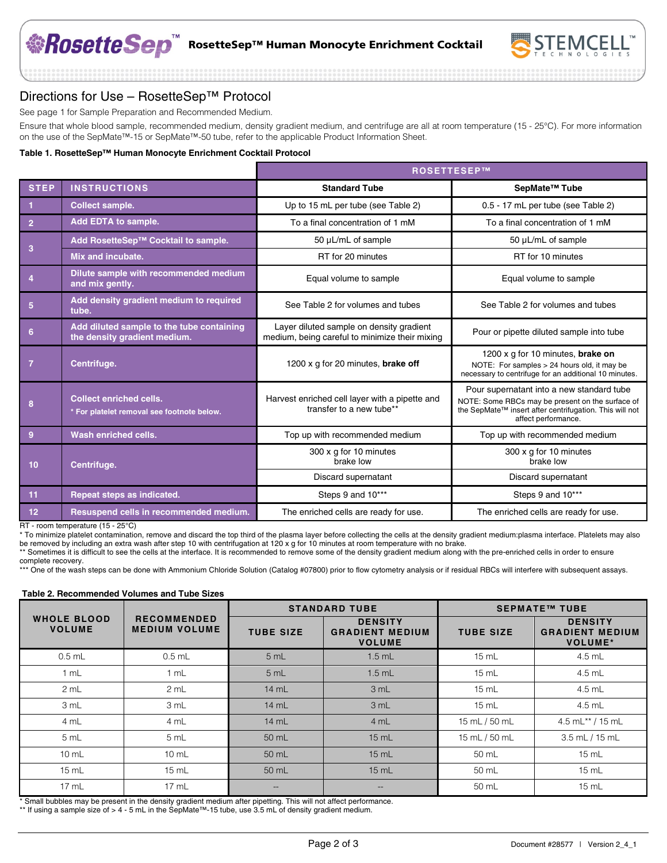

# Directions for Use – RosetteSep™ Protocol

See page 1 for Sample Preparation and Recommended Medium.

Ensure that whole blood sample, recommended medium, density gradient medium, and centrifuge are all at room temperature (15 - 25°C). For more information on the use of the SepMate™-15 or SepMate™-50 tube, refer to the applicable Product Information Sheet.

#### **Table 1. RosetteSep™ Human Monocyte Enrichment Cocktail Protocol**

|                   |                                                                              | <b>ROSETTESEP™</b>                                                                         |                                                                                                                                                                                 |  |
|-------------------|------------------------------------------------------------------------------|--------------------------------------------------------------------------------------------|---------------------------------------------------------------------------------------------------------------------------------------------------------------------------------|--|
| <b>STEP</b>       | <b>INSTRUCTIONS</b>                                                          | <b>Standard Tube</b>                                                                       | SepMate <sup>™</sup> Tube                                                                                                                                                       |  |
|                   | <b>Collect sample.</b>                                                       | Up to 15 mL per tube (see Table 2)                                                         | 0.5 - 17 mL per tube (see Table 2)                                                                                                                                              |  |
| $\overline{2}$    | Add EDTA to sample.                                                          | To a final concentration of 1 mM                                                           | To a final concentration of 1 mM                                                                                                                                                |  |
|                   | Add RosetteSep™ Cocktail to sample.                                          | 50 µL/mL of sample                                                                         | 50 µL/mL of sample                                                                                                                                                              |  |
| 3                 | Mix and incubate.                                                            | RT for 20 minutes                                                                          | RT for 10 minutes                                                                                                                                                               |  |
|                   | Dilute sample with recommended medium<br>and mix gently.                     | Equal volume to sample                                                                     | Equal volume to sample                                                                                                                                                          |  |
| 5                 | Add density gradient medium to required<br>tube.                             | See Table 2 for volumes and tubes                                                          | See Table 2 for volumes and tubes                                                                                                                                               |  |
| 6                 | Add diluted sample to the tube containing<br>the density gradient medium.    | Layer diluted sample on density gradient<br>medium, being careful to minimize their mixing | Pour or pipette diluted sample into tube                                                                                                                                        |  |
| 7                 | Centrifuge.                                                                  | 1200 x g for 20 minutes, <b>brake off</b>                                                  | 1200 x g for 10 minutes, brake on<br>NOTE: For samples > 24 hours old, it may be<br>necessary to centrifuge for an additional 10 minutes.                                       |  |
| 8                 | <b>Collect enriched cells.</b><br>* For platelet removal see footnote below. | Harvest enriched cell layer with a pipette and<br>transfer to a new tube**                 | Pour supernatant into a new standard tube<br>NOTE: Some RBCs may be present on the surface of<br>the SepMate™ insert after centrifugation. This will not<br>affect performance. |  |
| 9                 | Wash enriched cells.                                                         | Top up with recommended medium                                                             | Top up with recommended medium                                                                                                                                                  |  |
| Centrifuge.<br>10 |                                                                              | 300 x g for 10 minutes<br>brake low                                                        | 300 x g for 10 minutes<br>brake low                                                                                                                                             |  |
|                   |                                                                              | Discard supernatant                                                                        | Discard supernatant                                                                                                                                                             |  |
| 11                | Repeat steps as indicated.                                                   | Steps 9 and 10***                                                                          | Steps 9 and 10***                                                                                                                                                               |  |
| 12                | Resuspend cells in recommended medium.                                       | The enriched cells are ready for use.                                                      | The enriched cells are ready for use.                                                                                                                                           |  |

RT - room temperature (15 - 25°C)

\* To minimize platelet contamination, remove and discard the top third of the plasma layer before collecting the cells at the density gradient medium:plasma interface. Platelets may also be removed by including an extra wash after step 10 with centrifugation at 120 x g for 10 minutes at room temperature with no brake.

\*\* Sometimes it is difficult to see the cells at the interface. It is recommended to remove some of the density gradient medium along with the pre-enriched cells in order to ensure complete recovery.

\*\*\* One of the wash steps can be done with Ammonium Chloride Solution (Catalog #07800) prior to flow cytometry analysis or if residual RBCs will interfere with subsequent assays.

#### **Table 2. Recommended Volumes and Tube Sizes**

|                                     | <b>RECOMMENDED</b><br><b>MEDIUM VOLUME</b> |                  | <b>STANDARD TUBE</b>                                      | <b>SEPMATE™ TUBE</b> |                                                            |
|-------------------------------------|--------------------------------------------|------------------|-----------------------------------------------------------|----------------------|------------------------------------------------------------|
| <b>WHOLE BLOOD</b><br><b>VOLUME</b> |                                            | <b>TUBE SIZE</b> | <b>DENSITY</b><br><b>GRADIENT MEDIUM</b><br><b>VOLUME</b> | <b>TUBE SIZE</b>     | <b>DENSITY</b><br><b>GRADIENT MEDIUM</b><br><b>VOLUME*</b> |
| $0.5$ mL                            | $0.5$ mL                                   | 5 mL             | $1.5$ mL                                                  | $15 \text{ mL}$      | $4.5$ mL                                                   |
| 1 mL                                | 1 mL                                       | 5 mL             | $1.5$ mL                                                  | $15 \text{ mL}$      | $4.5$ mL                                                   |
| 2 mL                                | 2 mL                                       | 14 mL            | 3 mL                                                      | $15 \text{ mL}$      | $4.5$ mL                                                   |
| 3 mL                                | 3 mL                                       | 14 mL            | 3 mL                                                      | $15 \text{ mL}$      | $4.5$ mL                                                   |
| 4 mL                                | 4 mL                                       | 14 mL            | 4 mL                                                      | 15 mL / 50 mL        | 4.5 mL** / 15 mL                                           |
| 5 mL                                | 5 mL                                       | 50 mL            | $15$ mL                                                   | 15 mL / 50 mL        | $3.5$ mL $/$ 15 mL                                         |
| $10 \text{ mL}$                     | $10 \text{ mL}$                            | 50 mL            | $15$ mL                                                   | 50 mL                | $15 \text{ mL}$                                            |
| $15 \text{ mL}$                     | $15 \text{ mL}$                            | 50 mL            | $15$ mL                                                   | 50 mL                | $15 \text{ mL}$                                            |
| $17 \text{ mL}$                     | $17 \text{ mL}$                            | $- -$            | $- -$                                                     | 50 mL                | $15 \text{ mL}$                                            |

\* Small bubbles may be present in the density gradient medium after pipetting. This will not affect performance.

\*\* If using a sample size of > 4 - 5 mL in the SepMate™-15 tube, use 3.5 mL of density gradient medium.